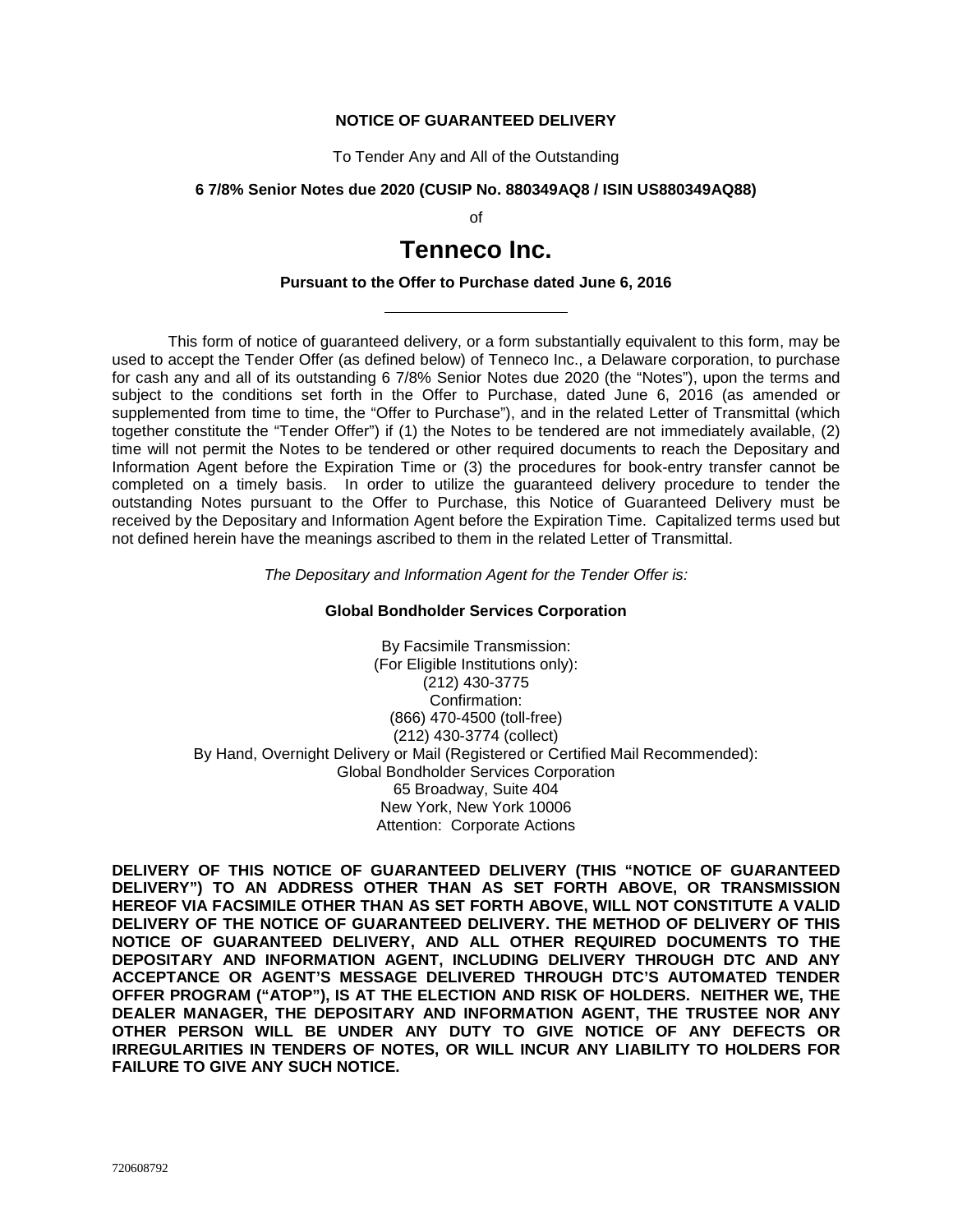# **NOTICE OF GUARANTEED DELIVERY**

To Tender Any and All of the Outstanding

#### **6 7/8% Senior Notes due 2020 (CUSIP No. 880349AQ8 / ISIN US880349AQ88)**

of

# **Tenneco Inc.**

## **Pursuant to the Offer to Purchase dated June 6, 2016**

This form of notice of guaranteed delivery, or a form substantially equivalent to this form, may be used to accept the Tender Offer (as defined below) of Tenneco Inc., a Delaware corporation, to purchase for cash any and all of its outstanding 6 7/8% Senior Notes due 2020 (the "Notes"), upon the terms and subject to the conditions set forth in the Offer to Purchase, dated June 6, 2016 (as amended or supplemented from time to time, the "Offer to Purchase"), and in the related Letter of Transmittal (which together constitute the "Tender Offer") if (1) the Notes to be tendered are not immediately available, (2) time will not permit the Notes to be tendered or other required documents to reach the Depositary and Information Agent before the Expiration Time or (3) the procedures for book-entry transfer cannot be completed on a timely basis. In order to utilize the guaranteed delivery procedure to tender the outstanding Notes pursuant to the Offer to Purchase, this Notice of Guaranteed Delivery must be received by the Depositary and Information Agent before the Expiration Time. Capitalized terms used but not defined herein have the meanings ascribed to them in the related Letter of Transmittal.

*The Depositary and Information Agent for the Tender Offer is:*

#### **Global Bondholder Services Corporation**

By Facsimile Transmission: (For Eligible Institutions only): (212) 430-3775 Confirmation: (866) 470-4500 (toll-free) (212) 430-3774 (collect) By Hand, Overnight Delivery or Mail (Registered or Certified Mail Recommended): Global Bondholder Services Corporation 65 Broadway, Suite 404 New York, New York 10006 Attention: Corporate Actions

**DELIVERY OF THIS NOTICE OF GUARANTEED DELIVERY (THIS "NOTICE OF GUARANTEED DELIVERY") TO AN ADDRESS OTHER THAN AS SET FORTH ABOVE, OR TRANSMISSION HEREOF VIA FACSIMILE OTHER THAN AS SET FORTH ABOVE, WILL NOT CONSTITUTE A VALID DELIVERY OF THE NOTICE OF GUARANTEED DELIVERY. THE METHOD OF DELIVERY OF THIS NOTICE OF GUARANTEED DELIVERY, AND ALL OTHER REQUIRED DOCUMENTS TO THE DEPOSITARY AND INFORMATION AGENT, INCLUDING DELIVERY THROUGH DTC AND ANY ACCEPTANCE OR AGENT'S MESSAGE DELIVERED THROUGH DTC'S AUTOMATED TENDER OFFER PROGRAM ("ATOP"), IS AT THE ELECTION AND RISK OF HOLDERS. NEITHER WE, THE DEALER MANAGER, THE DEPOSITARY AND INFORMATION AGENT, THE TRUSTEE NOR ANY OTHER PERSON WILL BE UNDER ANY DUTY TO GIVE NOTICE OF ANY DEFECTS OR IRREGULARITIES IN TENDERS OF NOTES, OR WILL INCUR ANY LIABILITY TO HOLDERS FOR FAILURE TO GIVE ANY SUCH NOTICE.**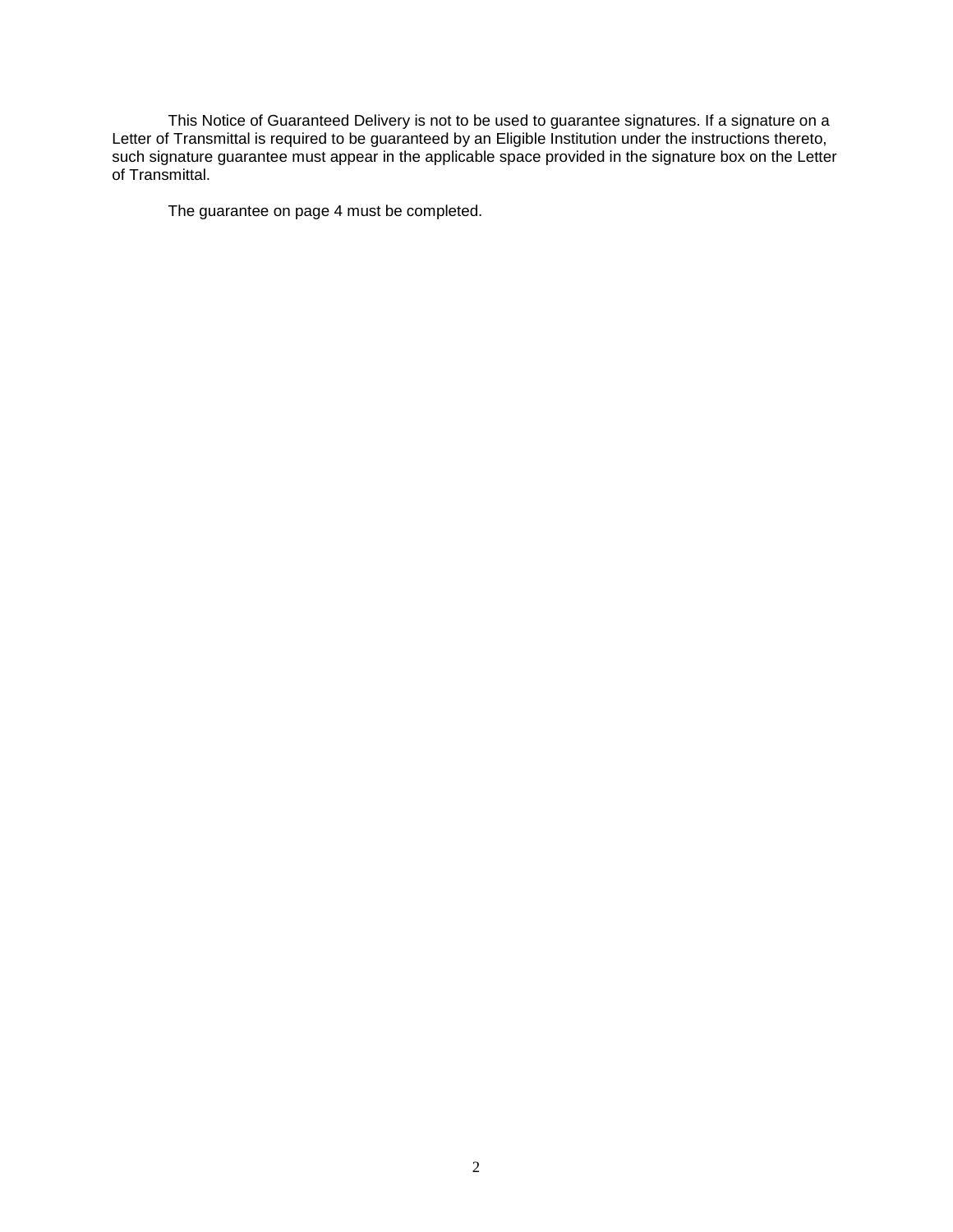This Notice of Guaranteed Delivery is not to be used to guarantee signatures. If a signature on a Letter of Transmittal is required to be guaranteed by an Eligible Institution under the instructions thereto, such signature guarantee must appear in the applicable space provided in the signature box on the Letter of Transmittal.

The guarantee on page 4 must be completed.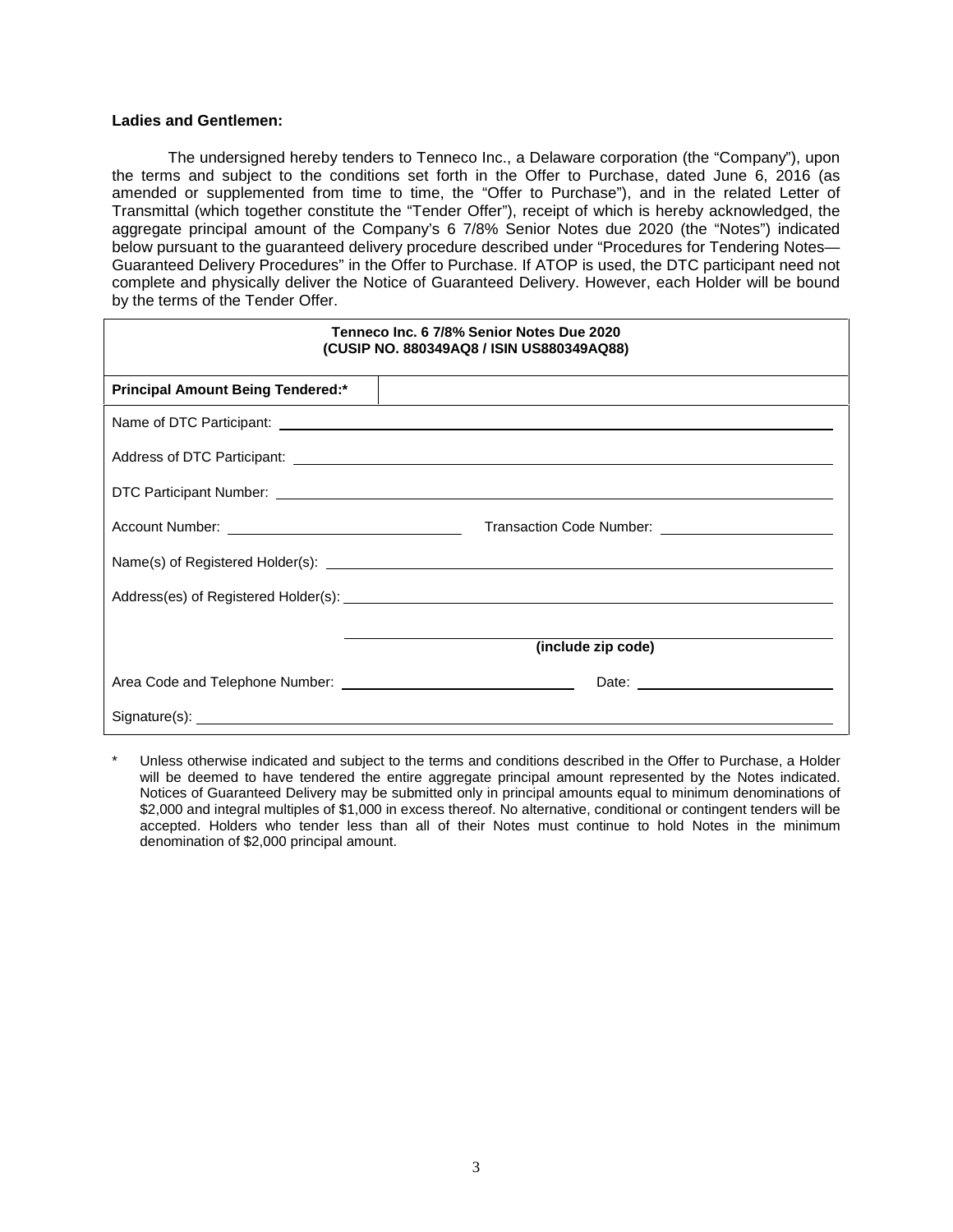# **Ladies and Gentlemen:**

The undersigned hereby tenders to Tenneco Inc., a Delaware corporation (the "Company"), upon the terms and subject to the conditions set forth in the Offer to Purchase, dated June 6, 2016 (as amended or supplemented from time to time, the "Offer to Purchase"), and in the related Letter of Transmittal (which together constitute the "Tender Offer"), receipt of which is hereby acknowledged, the aggregate principal amount of the Company's 6 7/8% Senior Notes due 2020 (the "Notes") indicated below pursuant to the guaranteed delivery procedure described under "Procedures for Tendering Notes— Guaranteed Delivery Procedures" in the Offer to Purchase. If ATOP is used, the DTC participant need not complete and physically deliver the Notice of Guaranteed Delivery. However, each Holder will be bound by the terms of the Tender Offer.

| Tenneco Inc. 6 7/8% Senior Notes Due 2020<br>(CUSIP NO. 880349AQ8 / ISIN US880349AQ88)                                                                                                                                               |                    |  |
|--------------------------------------------------------------------------------------------------------------------------------------------------------------------------------------------------------------------------------------|--------------------|--|
| <b>Principal Amount Being Tendered:*</b>                                                                                                                                                                                             |                    |  |
|                                                                                                                                                                                                                                      |                    |  |
|                                                                                                                                                                                                                                      |                    |  |
|                                                                                                                                                                                                                                      |                    |  |
|                                                                                                                                                                                                                                      |                    |  |
|                                                                                                                                                                                                                                      |                    |  |
|                                                                                                                                                                                                                                      |                    |  |
|                                                                                                                                                                                                                                      | (include zip code) |  |
|                                                                                                                                                                                                                                      |                    |  |
| Signature(s): <u>example and the set of the set of the set of the set of the set of the set of the set of the set of the set of the set of the set of the set of the set of the set of the set of the set of the set of the set </u> |                    |  |

Unless otherwise indicated and subject to the terms and conditions described in the Offer to Purchase, a Holder will be deemed to have tendered the entire aggregate principal amount represented by the Notes indicated. Notices of Guaranteed Delivery may be submitted only in principal amounts equal to minimum denominations of \$2,000 and integral multiples of \$1,000 in excess thereof. No alternative, conditional or contingent tenders will be accepted. Holders who tender less than all of their Notes must continue to hold Notes in the minimum denomination of \$2,000 principal amount.